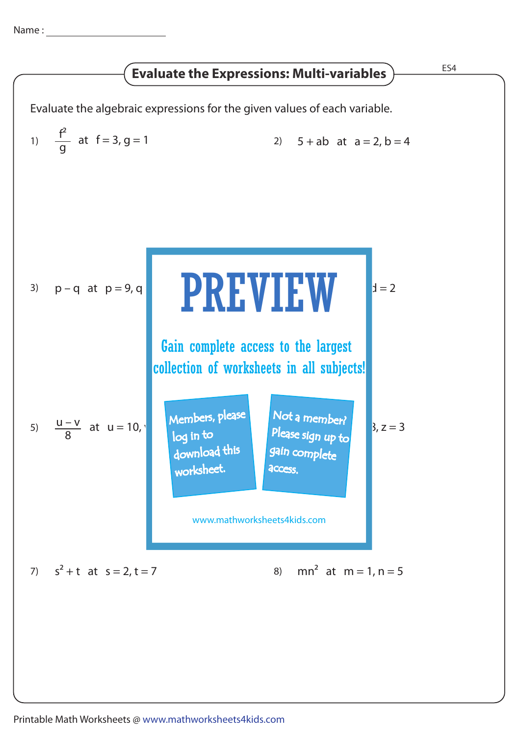